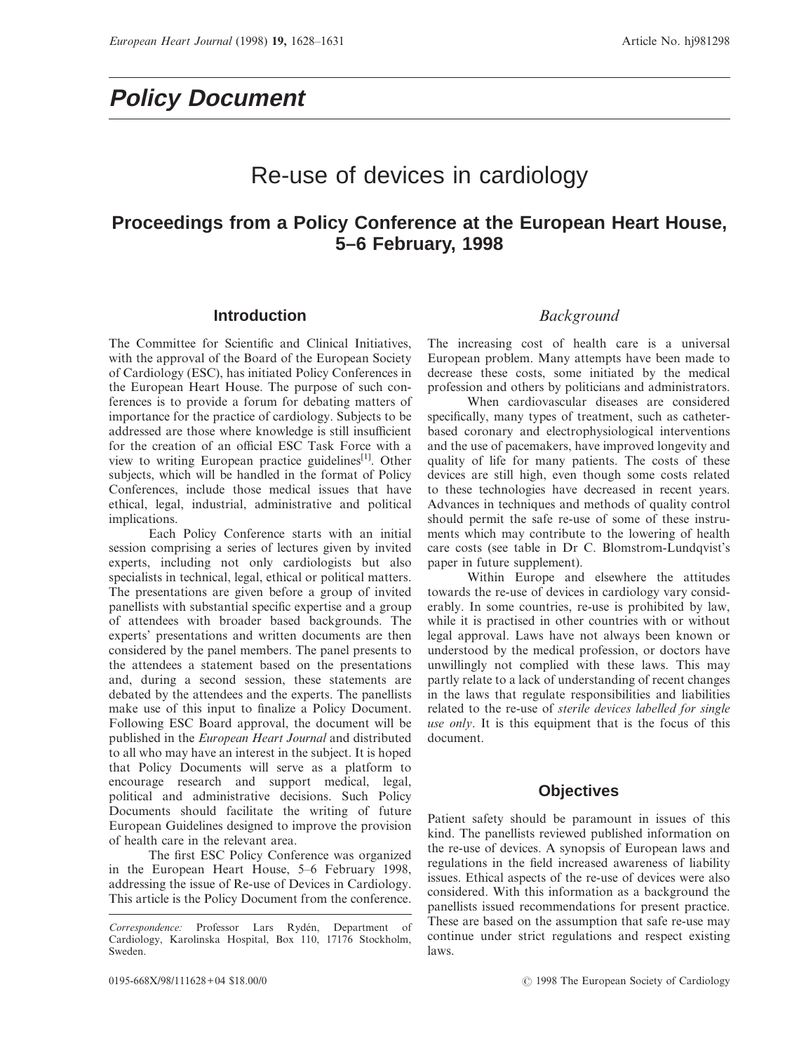# **Policy Document**

## Re-use of devices in cardiology

## **Proceedings from a Policy Conference at the European Heart House, 5–6 February, 1998**

#### **Introduction**

The Committee for Scientific and Clinical Initiatives, with the approval of the Board of the European Society of Cardiology (ESC), has initiated Policy Conferences in the European Heart House. The purpose of such conferences is to provide a forum for debating matters of importance for the practice of cardiology. Subjects to be addressed are those where knowledge is still insufficient for the creation of an official ESC Task Force with a view to writing European practice guidelines<sup>[1]</sup>. Other subjects, which will be handled in the format of Policy Conferences, include those medical issues that have ethical, legal, industrial, administrative and political implications.

Each Policy Conference starts with an initial session comprising a series of lectures given by invited experts, including not only cardiologists but also specialists in technical, legal, ethical or political matters. The presentations are given before a group of invited panellists with substantial specific expertise and a group of attendees with broader based backgrounds. The experts' presentations and written documents are then considered by the panel members. The panel presents to the attendees a statement based on the presentations and, during a second session, these statements are debated by the attendees and the experts. The panellists make use of this input to finalize a Policy Document. Following ESC Board approval, the document will be published in the *European Heart Journal* and distributed to all who may have an interest in the subject. It is hoped that Policy Documents will serve as a platform to encourage research and support medical, legal, political and administrative decisions. Such Policy Documents should facilitate the writing of future European Guidelines designed to improve the provision of health care in the relevant area.

The first ESC Policy Conference was organized in the European Heart House, 5–6 February 1998, addressing the issue of Re-use of Devices in Cardiology. This article is the Policy Document from the conference.

## *Background*

The increasing cost of health care is a universal European problem. Many attempts have been made to decrease these costs, some initiated by the medical profession and others by politicians and administrators.

When cardiovascular diseases are considered specifically, many types of treatment, such as catheterbased coronary and electrophysiological interventions and the use of pacemakers, have improved longevity and quality of life for many patients. The costs of these devices are still high, even though some costs related to these technologies have decreased in recent years. Advances in techniques and methods of quality control should permit the safe re-use of some of these instruments which may contribute to the lowering of health care costs (see table in Dr C. Blomstrom-Lundqvist's paper in future supplement).

Within Europe and elsewhere the attitudes towards the re-use of devices in cardiology vary considerably. In some countries, re-use is prohibited by law, while it is practised in other countries with or without legal approval. Laws have not always been known or understood by the medical profession, or doctors have unwillingly not complied with these laws. This may partly relate to a lack of understanding of recent changes in the laws that regulate responsibilities and liabilities related to the re-use of *sterile devices labelled for single use only*. It is this equipment that is the focus of this document.

## **Objectives**

Patient safety should be paramount in issues of this kind. The panellists reviewed published information on the re-use of devices. A synopsis of European laws and regulations in the field increased awareness of liability issues. Ethical aspects of the re-use of devices were also considered. With this information as a background the panellists issued recommendations for present practice. These are based on the assumption that safe re-use may continue under strict regulations and respect existing laws.

Correspondence: Professor Lars Rydén, Department of Cardiology, Karolinska Hospital, Box 110, 17176 Stockholm, Sweden.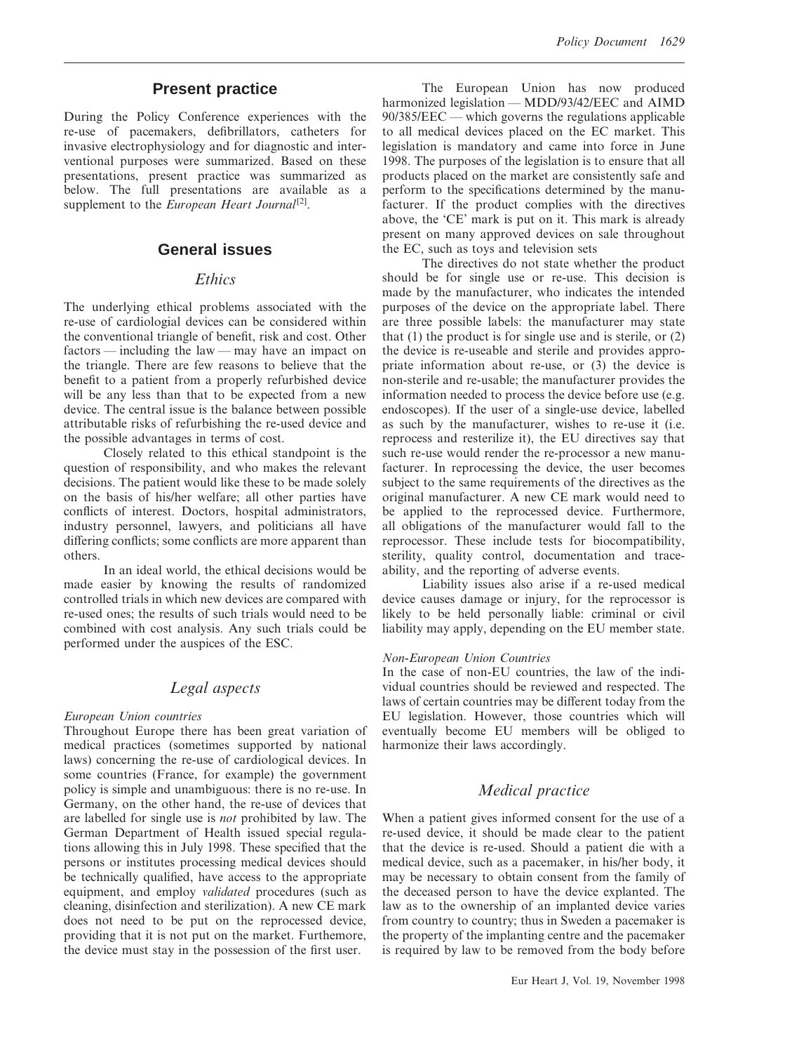#### **Present practice**

During the Policy Conference experiences with the re-use of pacemakers, defibrillators, catheters for invasive electrophysiology and for diagnostic and interventional purposes were summarized. Based on these presentations, present practice was summarized as below. The full presentations are available as a supplement to the *European Heart Journal*<sup>[2]</sup>.

#### **General issues**

#### *Ethics*

The underlying ethical problems associated with the re-use of cardiologial devices can be considered within the conventional triangle of benefit, risk and cost. Other factors — including the law — may have an impact on the triangle. There are few reasons to believe that the benefit to a patient from a properly refurbished device will be any less than that to be expected from a new device. The central issue is the balance between possible attributable risks of refurbishing the re-used device and the possible advantages in terms of cost.

Closely related to this ethical standpoint is the question of responsibility, and who makes the relevant decisions. The patient would like these to be made solely on the basis of his/her welfare; all other parties have conflicts of interest. Doctors, hospital administrators, industry personnel, lawyers, and politicians all have differing conflicts; some conflicts are more apparent than others.

In an ideal world, the ethical decisions would be made easier by knowing the results of randomized controlled trials in which new devices are compared with re-used ones; the results of such trials would need to be combined with cost analysis. Any such trials could be performed under the auspices of the ESC.

## *Legal aspects*

#### *European Union countries*

Throughout Europe there has been great variation of medical practices (sometimes supported by national laws) concerning the re-use of cardiological devices. In some countries (France, for example) the government policy is simple and unambiguous: there is no re-use. In Germany, on the other hand, the re-use of devices that are labelled for single use is *not* prohibited by law. The German Department of Health issued special regulations allowing this in July 1998. These specified that the persons or institutes processing medical devices should be technically qualified, have access to the appropriate equipment, and employ *validated* procedures (such as cleaning, disinfection and sterilization). A new CE mark does not need to be put on the reprocessed device, providing that it is not put on the market. Furthemore, the device must stay in the possession of the first user.

The European Union has now produced harmonized legislation — MDD/93/42/EEC and AIMD 90/385/EEC — which governs the regulations applicable to all medical devices placed on the EC market. This legislation is mandatory and came into force in June 1998. The purposes of the legislation is to ensure that all products placed on the market are consistently safe and perform to the specifications determined by the manufacturer. If the product complies with the directives above, the 'CE' mark is put on it. This mark is already present on many approved devices on sale throughout the EC, such as toys and television sets

The directives do not state whether the product should be for single use or re-use. This decision is made by the manufacturer, who indicates the intended purposes of the device on the appropriate label. There are three possible labels: the manufacturer may state that (1) the product is for single use and is sterile, or (2) the device is re-useable and sterile and provides appropriate information about re-use, or (3) the device is non-sterile and re-usable; the manufacturer provides the information needed to process the device before use (e.g. endoscopes). If the user of a single-use device, labelled as such by the manufacturer, wishes to re-use it (i.e. reprocess and resterilize it), the EU directives say that such re-use would render the re-processor a new manufacturer. In reprocessing the device, the user becomes subject to the same requirements of the directives as the original manufacturer. A new CE mark would need to be applied to the reprocessed device. Furthermore, all obligations of the manufacturer would fall to the reprocessor. These include tests for biocompatibility, sterility, quality control, documentation and traceability, and the reporting of adverse events.

Liability issues also arise if a re-used medical device causes damage or injury, for the reprocessor is likely to be held personally liable: criminal or civil liability may apply, depending on the EU member state.

#### *Non-European Union Countries*

In the case of non-EU countries, the law of the individual countries should be reviewed and respected. The laws of certain countries may be different today from the EU legislation. However, those countries which will eventually become EU members will be obliged to harmonize their laws accordingly.

## *Medical practice*

When a patient gives informed consent for the use of a re-used device, it should be made clear to the patient that the device is re-used. Should a patient die with a medical device, such as a pacemaker, in his/her body, it may be necessary to obtain consent from the family of the deceased person to have the device explanted. The law as to the ownership of an implanted device varies from country to country; thus in Sweden a pacemaker is the property of the implanting centre and the pacemaker is required by law to be removed from the body before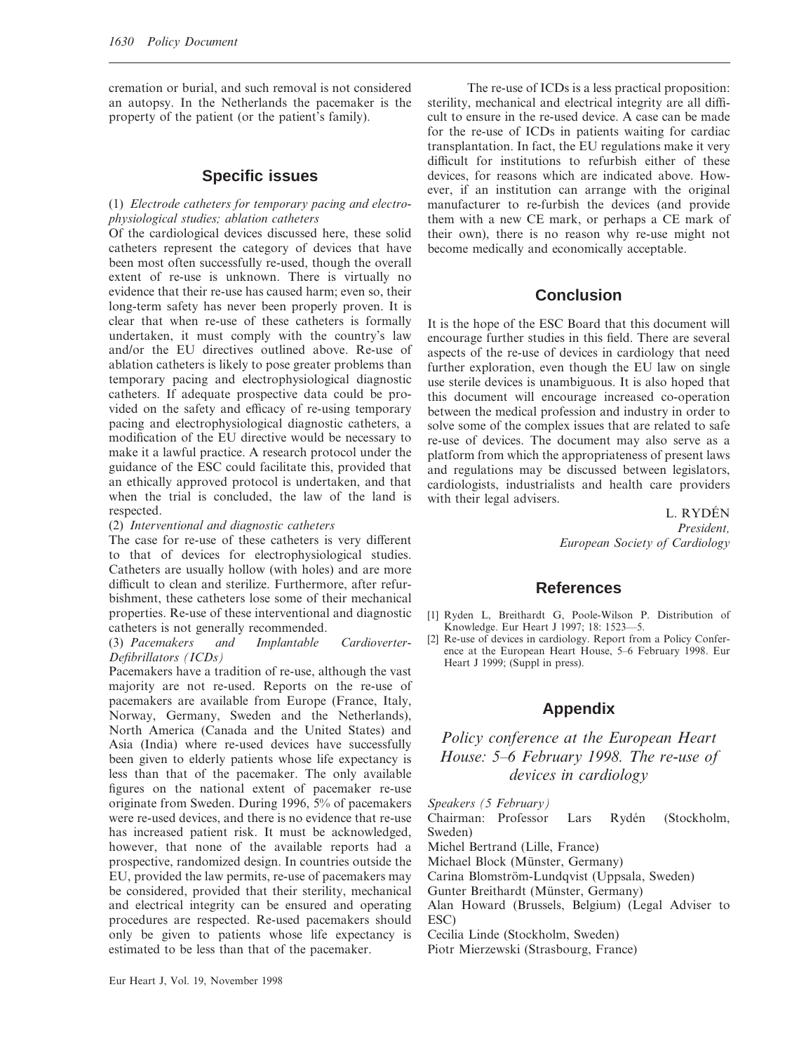cremation or burial, and such removal is not considered an autopsy. In the Netherlands the pacemaker is the property of the patient (or the patient's family).

## **Specific issues**

(1) *Electrode catheters for temporary pacing and electrophysiological studies; ablation catheters*

Of the cardiological devices discussed here, these solid catheters represent the category of devices that have been most often successfully re-used, though the overall extent of re-use is unknown. There is virtually no evidence that their re-use has caused harm; even so, their long-term safety has never been properly proven. It is clear that when re-use of these catheters is formally undertaken, it must comply with the country's law and/or the EU directives outlined above. Re-use of ablation catheters is likely to pose greater problems than temporary pacing and electrophysiological diagnostic catheters. If adequate prospective data could be provided on the safety and efficacy of re-using temporary pacing and electrophysiological diagnostic catheters, a modification of the EU directive would be necessary to make it a lawful practice. A research protocol under the guidance of the ESC could facilitate this, provided that an ethically approved protocol is undertaken, and that when the trial is concluded, the law of the land is respected.

(2) *Interventional and diagnostic catheters*

The case for re-use of these catheters is very different to that of devices for electrophysiological studies. Catheters are usually hollow (with holes) and are more difficult to clean and sterilize. Furthermore, after refurbishment, these catheters lose some of their mechanical properties. Re-use of these interventional and diagnostic catheters is not generally recommended.

(3) *Pacemakers and Implantable Cardioverter-Defibrillators (ICDs)*

Pacemakers have a tradition of re-use, although the vast majority are not re-used. Reports on the re-use of pacemakers are available from Europe (France, Italy, Norway, Germany, Sweden and the Netherlands), North America (Canada and the United States) and Asia (India) where re-used devices have successfully been given to elderly patients whose life expectancy is less than that of the pacemaker. The only available figures on the national extent of pacemaker re-use originate from Sweden. During 1996, 5% of pacemakers were re-used devices, and there is no evidence that re-use has increased patient risk. It must be acknowledged, however, that none of the available reports had a prospective, randomized design. In countries outside the EU, provided the law permits, re-use of pacemakers may be considered, provided that their sterility, mechanical and electrical integrity can be ensured and operating procedures are respected. Re-used pacemakers should only be given to patients whose life expectancy is estimated to be less than that of the pacemaker.

The re-use of ICDs is a less practical proposition: sterility, mechanical and electrical integrity are all difficult to ensure in the re-used device. A case can be made for the re-use of ICDs in patients waiting for cardiac transplantation. In fact, the EU regulations make it very difficult for institutions to refurbish either of these devices, for reasons which are indicated above. However, if an institution can arrange with the original manufacturer to re-furbish the devices (and provide them with a new CE mark, or perhaps a CE mark of their own), there is no reason why re-use might not become medically and economically acceptable.

#### **Conclusion**

It is the hope of the ESC Board that this document will encourage further studies in this field. There are several aspects of the re-use of devices in cardiology that need further exploration, even though the EU law on single use sterile devices is unambiguous. It is also hoped that this document will encourage increased co-operation between the medical profession and industry in order to solve some of the complex issues that are related to safe re-use of devices. The document may also serve as a platform from which the appropriateness of present laws and regulations may be discussed between legislators, cardiologists, industrialists and health care providers with their legal advisers.

> L. RYDÉN *President, European Society of Cardiology*

## **References**

- [1] Ryden L, Breithardt G, Poole-Wilson P. Distribution of Knowledge. Eur Heart J 1997; 18: 1523—5.
- [2] Re-use of devices in cardiology. Report from a Policy Conference at the European Heart House, 5–6 February 1998. Eur Heart J 1999; (Suppl in press).

#### **Appendix**

*Policy conference at the European Heart House: 5–6 February 1998. The re-use of devices in cardiology*

*Speakers (5 February)* Chairman: Professor Lars Rydén (Stockholm, Sweden) Michel Bertrand (Lille, France) Michael Block (Münster, Germany) Carina Blomström-Lundqvist (Uppsala, Sweden) Gunter Breithardt (Münster, Germany) Alan Howard (Brussels, Belgium) (Legal Adviser to ESC)

Cecilia Linde (Stockholm, Sweden)

Piotr Mierzewski (Strasbourg, France)